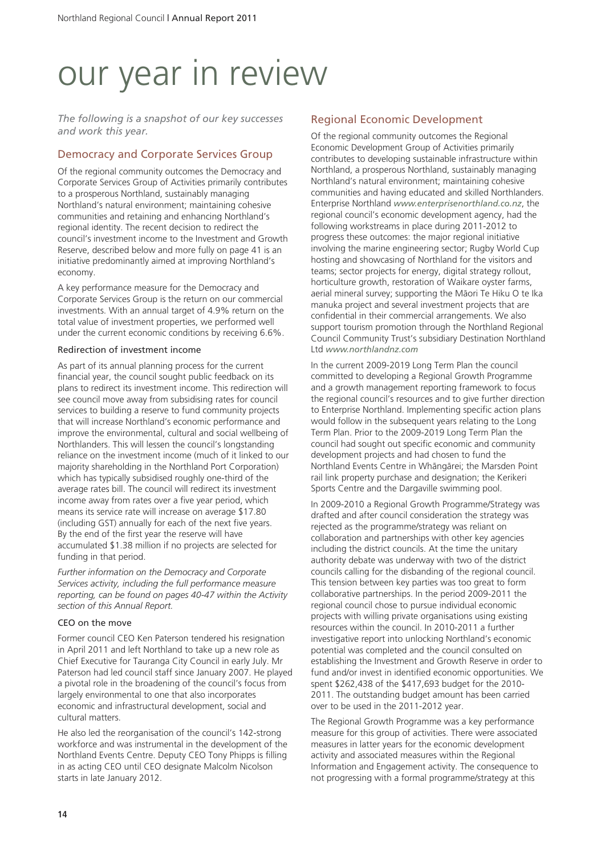# our year in review

*The following is a snapshot of our key successes and work this year.*

# Democracy and Corporate Services Group

Of the regional community outcomes the Democracy and Corporate Services Group of Activities primarily contributes to a prosperous Northland, sustainably managing Northland's natural environment; maintaining cohesive communities and retaining and enhancing Northland's regional identity. The recent decision to redirect the council's investment income to the Investment and Growth Reserve, described below and more fully on page 41 is an initiative predominantly aimed at improving Northland's economy.

A key performance measure for the Democracy and Corporate Services Group is the return on our commercial investments. With an annual target of 4.9% return on the total value of investment properties, we performed well under the current economic conditions by receiving 6.6%.

### Redirection of investment income

As part of its annual planning process for the current financial year, the council sought public feedback on its plans to redirect its investment income. This redirection will see council move away from subsidising rates for council services to building a reserve to fund community projects that will increase Northland's economic performance and improve the environmental, cultural and social wellbeing of Northlanders. This will lessen the council's longstanding reliance on the investment income (much of it linked to our majority shareholding in the Northland Port Corporation) which has typically subsidised roughly one-third of the average rates bill. The council will redirect its investment income away from rates over a five year period, which means its service rate will increase on average \$17.80 (including GST) annually for each of the next five years. By the end of the first year the reserve will have accumulated \$1.38 million if no projects are selected for funding in that period.

*Further information on the Democracy and Corporate Services activity, including the full performance measure reporting, can be found on pages 40-47 within the Activity section of this Annual Report.*

## CEO on the move

Former council CEO Ken Paterson tendered his resignation in April 2011 and left Northland to take up a new role as Chief Executive for Tauranga City Council in early July. Mr Paterson had led council staff since January 2007. He played a pivotal role in the broadening of the council's focus from largely environmental to one that also incorporates economic and infrastructural development, social and cultural matters.

He also led the reorganisation of the council's 142-strong workforce and was instrumental in the development of the Northland Events Centre. Deputy CEO Tony Phipps is filling in as acting CEO until CEO designate Malcolm Nicolson starts in late January 2012.

# Regional Economic Development

Of the regional community outcomes the Regional Economic Development Group of Activities primarily contributes to developing sustainable infrastructure within Northland, a prosperous Northland, sustainably managing Northland's natural environment; maintaining cohesive communities and having educated and skilled Northlanders. Enterprise Northland *www.enterprisenorthland.co.nz*, the regional council's economic development agency, had the following workstreams in place during 2011-2012 to progress these outcomes: the major regional initiative involving the marine engineering sector; Rugby World Cup hosting and showcasing of Northland for the visitors and teams; sector projects for energy, digital strategy rollout, horticulture growth, restoration of Waikare oyster farms, aerial mineral survey; supporting the Mäori Te Hiku O te Ika manuka project and several investment projects that are confidential in their commercial arrangements. We also support tourism promotion through the Northland Regional Council Community Trust's subsidiary Destination Northland Ltd *www.northlandnz.com*

In the current 2009-2019 Long Term Plan the council committed to developing a Regional Growth Programme and a growth management reporting framework to focus the regional council's resources and to give further direction to Enterprise Northland. Implementing specific action plans would follow in the subsequent years relating to the Long Term Plan. Prior to the 2009-2019 Long Term Plan the council had sought out specific economic and community development projects and had chosen to fund the Northland Events Centre in Whängärei; the Marsden Point rail link property purchase and designation; the Kerikeri Sports Centre and the Dargaville swimming pool.

In 2009-2010 a Regional Growth Programme/Strategy was drafted and after council consideration the strategy was rejected as the programme/strategy was reliant on collaboration and partnerships with other key agencies including the district councils. At the time the unitary authority debate was underway with two of the district councils calling for the disbanding of the regional council. This tension between key parties was too great to form collaborative partnerships. In the period 2009-2011 the regional council chose to pursue individual economic projects with willing private organisations using existing resources within the council. In 2010-2011 a further investigative report into unlocking Northland's economic potential was completed and the council consulted on establishing the Investment and Growth Reserve in order to fund and/or invest in identified economic opportunities. We spent \$262,438 of the \$417,693 budget for the 2010- 2011. The outstanding budget amount has been carried over to be used in the 2011-2012 year.

The Regional Growth Programme was a key performance measure for this group of activities. There were associated measures in latter years for the economic development activity and associated measures within the Regional Information and Engagement activity. The consequence to not progressing with a formal programme/strategy at this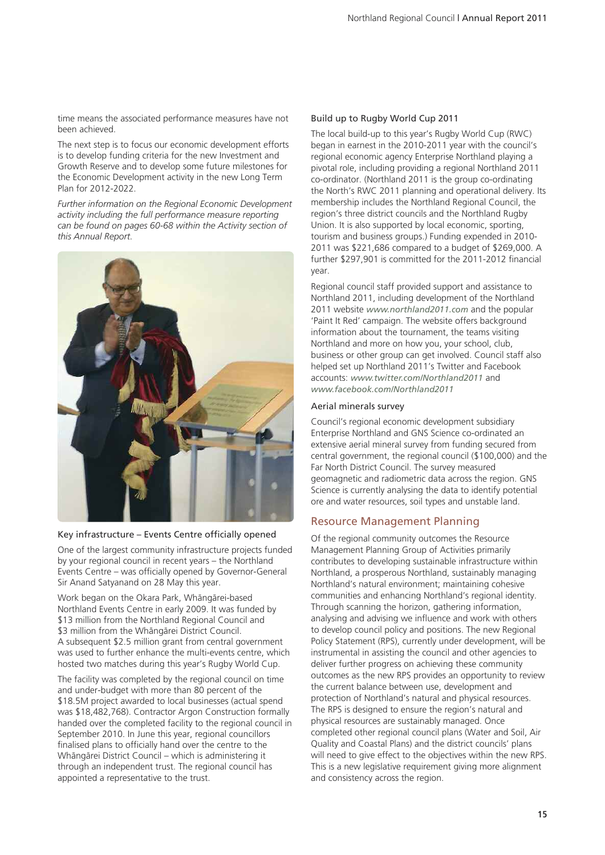time means the associated performance measures have not been achieved.

The next step is to focus our economic development efforts is to develop funding criteria for the new Investment and Growth Reserve and to develop some future milestones for the Economic Development activity in the new Long Term Plan for 2012-2022.

*Further information on the Regional Economic Development activity including the full performance measure reporting can be found on pages 60-68 within the Activity section of this Annual Report.*



#### Key infrastructure – Events Centre officially opened

One of the largest community infrastructure projects funded by your regional council in recent years – the Northland Events Centre – was officially opened by Governor-General Sir Anand Satyanand on 28 May this year.

Work began on the Okara Park, Whängärei-based Northland Events Centre in early 2009. It was funded by \$13 million from the Northland Regional Council and \$3 million from the Whängärei District Council. A subsequent \$2.5 million grant from central government was used to further enhance the multi-events centre, which hosted two matches during this year's Rugby World Cup.

The facility was completed by the regional council on time and under-budget with more than 80 percent of the \$18.5M project awarded to local businesses (actual spend was \$18,482,768). Contractor Argon Construction formally handed over the completed facility to the regional council in September 2010. In June this year, regional councillors finalised plans to officially hand over the centre to the Whängärei District Council – which is administering it through an independent trust. The regional council has appointed a representative to the trust.

### Build up to Rugby World Cup 2011

The local build-up to this year's Rugby World Cup (RWC) began in earnest in the 2010-2011 year with the council's regional economic agency Enterprise Northland playing a pivotal role, including providing a regional Northland 2011 co-ordinator. (Northland 2011 is the group co-ordinating the North's RWC 2011 planning and operational delivery. Its membership includes the Northland Regional Council, the region's three district councils and the Northland Rugby Union. It is also supported by local economic, sporting, tourism and business groups.) Funding expended in 2010- 2011 was \$221,686 compared to a budget of \$269,000. A further \$297,901 is committed for the 2011-2012 financial year.

Regional council staff provided support and assistance to Northland 2011, including development of the Northland 2011 website *www.northland2011.com* and the popular 'Paint It Red' campaign. The website offers background information about the tournament, the teams visiting Northland and more on how you, your school, club, business or other group can get involved. Council staff also helped set up Northland 2011's Twitter and Facebook accounts: *www.twitter.com/Northland2011* and *www.facebook.com/Northland2011*

#### Aerial minerals survey

Council's regional economic development subsidiary Enterprise Northland and GNS Science co-ordinated an extensive aerial mineral survey from funding secured from central government, the regional council (\$100,000) and the Far North District Council. The survey measured geomagnetic and radiometric data across the region. GNS Science is currently analysing the data to identify potential ore and water resources, soil types and unstable land.

## Resource Management Planning

Of the regional community outcomes the Resource Management Planning Group of Activities primarily contributes to developing sustainable infrastructure within Northland, a prosperous Northland, sustainably managing Northland's natural environment; maintaining cohesive communities and enhancing Northland's regional identity. Through scanning the horizon, gathering information, analysing and advising we influence and work with others to develop council policy and positions. The new Regional Policy Statement (RPS), currently under development, will be instrumental in assisting the council and other agencies to deliver further progress on achieving these community outcomes as the new RPS provides an opportunity to review the current balance between use, development and protection of Northland's natural and physical resources. The RPS is designed to ensure the region's natural and physical resources are sustainably managed. Once completed other regional council plans (Water and Soil, Air Quality and Coastal Plans) and the district councils' plans will need to give effect to the objectives within the new RPS. This is a new legislative requirement giving more alignment and consistency across the region.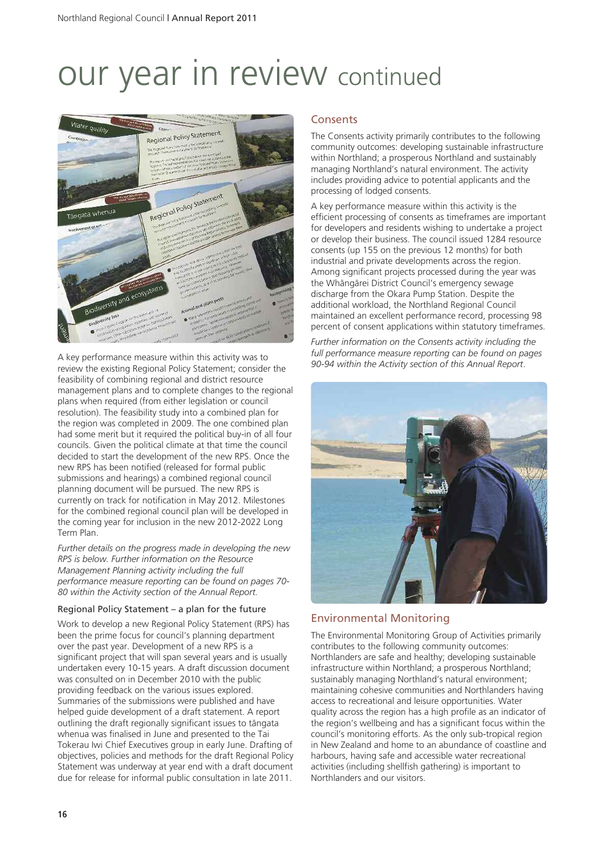

A key performance measure within this activity was to review the existing Regional Policy Statement; consider the feasibility of combining regional and district resource management plans and to complete changes to the regional plans when required (from either legislation or council resolution). The feasibility study into a combined plan for the region was completed in 2009. The one combined plan had some merit but it required the political buy-in of all four councils. Given the political climate at that time the council decided to start the development of the new RPS. Once the new RPS has been notified (released for formal public submissions and hearings) a combined regional council planning document will be pursued. The new RPS is currently on track for notification in May 2012. Milestones for the combined regional council plan will be developed in the coming year for inclusion in the new 2012-2022 Long Term Plan.

*Further details on the progress made in developing the new RPS is below. Further information on the Resource Management Planning activity including the full performance measure reporting can be found on pages 70- 80 within the Activity section of the Annual Report.*

## Regional Policy Statement – a plan for the future

Work to develop a new Regional Policy Statement (RPS) has been the prime focus for council's planning department over the past year. Development of a new RPS is a significant project that will span several years and is usually undertaken every 10-15 years. A draft discussion document was consulted on in December 2010 with the public providing feedback on the various issues explored. Summaries of the submissions were published and have helped guide development of a draft statement. A report outlining the draft regionally significant issues to tängata whenua was finalised in June and presented to the Tai Tokerau Iwi Chief Executives group in early June. Drafting of objectives, policies and methods for the draft Regional Policy Statement was underway at year end with a draft document due for release for informal public consultation in late 2011.

## **Consents**

The Consents activity primarily contributes to the following community outcomes: developing sustainable infrastructure within Northland; a prosperous Northland and sustainably managing Northland's natural environment. The activity includes providing advice to potential applicants and the processing of lodged consents.

A key performance measure within this activity is the efficient processing of consents as timeframes are important for developers and residents wishing to undertake a project or develop their business. The council issued 1284 resource consents (up 155 on the previous 12 months) for both industrial and private developments across the region. Among significant projects processed during the year was the Whängärei District Council's emergency sewage discharge from the Okara Pump Station. Despite the additional workload, the Northland Regional Council maintained an excellent performance record, processing 98 percent of consent applications within statutory timeframes.

*Further information on the Consents activity including the full performance measure reporting can be found on pages 90-94 within the Activity section of this Annual Report*.



## Environmental Monitoring

The Environmental Monitoring Group of Activities primarily contributes to the following community outcomes: Northlanders are safe and healthy; developing sustainable infrastructure within Northland; a prosperous Northland; sustainably managing Northland's natural environment; maintaining cohesive communities and Northlanders having access to recreational and leisure opportunities. Water quality across the region has a high profile as an indicator of the region's wellbeing and has a significant focus within the council's monitoring efforts. As the only sub-tropical region in New Zealand and home to an abundance of coastline and harbours, having safe and accessible water recreational activities (including shellfish gathering) is important to Northlanders and our visitors.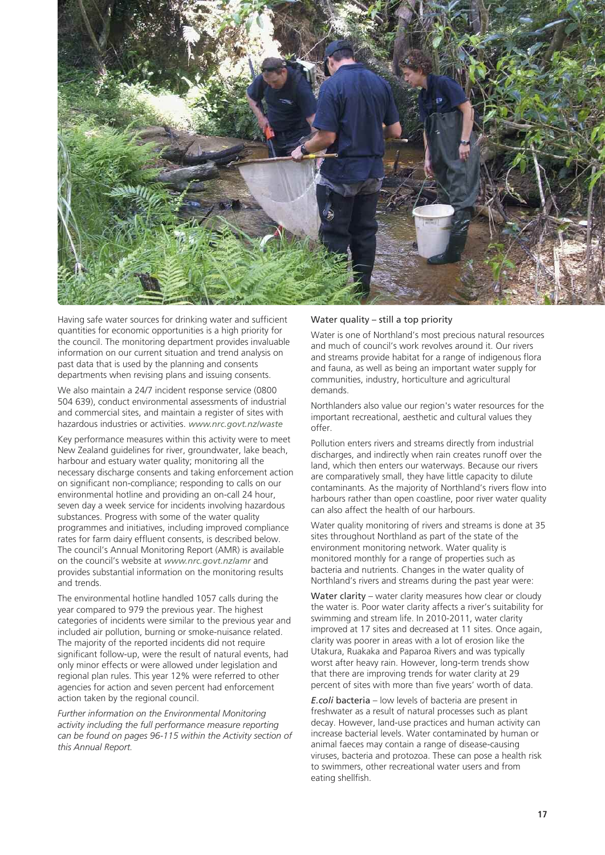

Having safe water sources for drinking water and sufficient quantities for economic opportunities is a high priority for the council. The monitoring department provides invaluable information on our current situation and trend analysis on past data that is used by the planning and consents departments when revising plans and issuing consents.

We also maintain a 24/7 incident response service (0800 504 639), conduct environmental assessments of industrial and commercial sites, and maintain a register of sites with hazardous industries or activities. *www.nrc.govt.nz/waste*

Key performance measures within this activity were to meet New Zealand guidelines for river, groundwater, lake beach, harbour and estuary water quality; monitoring all the necessary discharge consents and taking enforcement action on significant non-compliance; responding to calls on our environmental hotline and providing an on-call 24 hour, seven day a week service for incidents involving hazardous substances. Progress with some of the water quality programmes and initiatives, including improved compliance rates for farm dairy effluent consents, is described below. The council's Annual Monitoring Report (AMR) is available on the council's website at *www.nrc.govt.nz/amr* and provides substantial information on the monitoring results and trends.

The environmental hotline handled 1057 calls during the year compared to 979 the previous year. The highest categories of incidents were similar to the previous year and included air pollution, burning or smoke-nuisance related. The majority of the reported incidents did not require significant follow-up, were the result of natural events, had only minor effects or were allowed under legislation and regional plan rules. This year 12% were referred to other agencies for action and seven percent had enforcement action taken by the regional council.

*Further information on the Environmental Monitoring activity including the full performance measure reporting can be found on pages 96-115 within the Activity section of this Annual Report.*

## Water quality – still a top priority

Water is one of Northland's most precious natural resources and much of council's work revolves around it. Our rivers and streams provide habitat for a range of indigenous flora and fauna, as well as being an important water supply for communities, industry, horticulture and agricultural demands.

Northlanders also value our region's water resources for the important recreational, aesthetic and cultural values they offer.

Pollution enters rivers and streams directly from industrial discharges, and indirectly when rain creates runoff over the land, which then enters our waterways. Because our rivers are comparatively small, they have little capacity to dilute contaminants. As the majority of Northland's rivers flow into harbours rather than open coastline, poor river water quality can also affect the health of our harbours.

Water quality monitoring of rivers and streams is done at 35 sites throughout Northland as part of the state of the environment monitoring network. Water quality is monitored monthly for a range of properties such as bacteria and nutrients. Changes in the water quality of Northland's rivers and streams during the past year were:

Water clarity – water clarity measures how clear or cloudy the water is. Poor water clarity affects a river's suitability for swimming and stream life. In 2010-2011, water clarity improved at 17 sites and decreased at 11 sites. Once again, clarity was poorer in areas with a lot of erosion like the Utakura, Ruakaka and Paparoa Rivers and was typically worst after heavy rain. However, long-term trends show that there are improving trends for water clarity at 29 percent of sites with more than five years' worth of data.

*E.coli* bacteria – low levels of bacteria are present in freshwater as a result of natural processes such as plant decay. However, land-use practices and human activity can increase bacterial levels. Water contaminated by human or animal faeces may contain a range of disease-causing viruses, bacteria and protozoa. These can pose a health risk to swimmers, other recreational water users and from eating shellfish.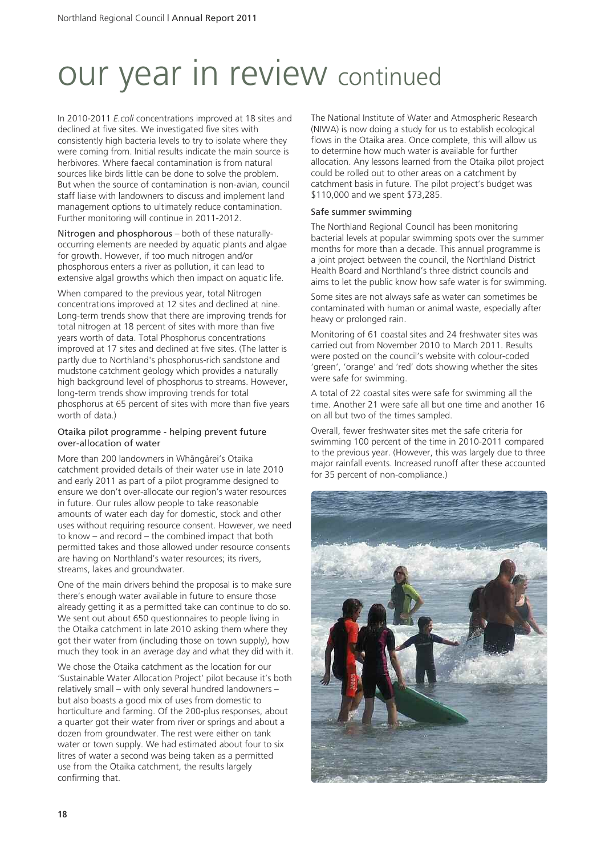In 2010-2011 *E.coli* concentrations improved at 18 sites and declined at five sites. We investigated five sites with consistently high bacteria levels to try to isolate where they were coming from. Initial results indicate the main source is herbivores. Where faecal contamination is from natural sources like birds little can be done to solve the problem. But when the source of contamination is non-avian, council staff liaise with landowners to discuss and implement land management options to ultimately reduce contamination. Further monitoring will continue in 2011-2012.

Nitrogen and phosphorous – both of these naturallyoccurring elements are needed by aquatic plants and algae for growth. However, if too much nitrogen and/or phosphorous enters a river as pollution, it can lead to extensive algal growths which then impact on aquatic life.

When compared to the previous year, total Nitrogen concentrations improved at 12 sites and declined at nine. Long-term trends show that there are improving trends for total nitrogen at 18 percent of sites with more than five years worth of data. Total Phosphorus concentrations improved at 17 sites and declined at five sites. (The latter is partly due to Northland's phosphorus-rich sandstone and mudstone catchment geology which provides a naturally high background level of phosphorus to streams. However, long-term trends show improving trends for total phosphorus at 65 percent of sites with more than five years worth of data.)

### Otaika pilot programme - helping prevent future over-allocation of water

More than 200 landowners in Whängärei's Otaika catchment provided details of their water use in late 2010 and early 2011 as part of a pilot programme designed to ensure we don't over-allocate our region's water resources in future. Our rules allow people to take reasonable amounts of water each day for domestic, stock and other uses without requiring resource consent. However, we need to know – and record – the combined impact that both permitted takes and those allowed under resource consents are having on Northland's water resources; its rivers, streams, lakes and groundwater.

One of the main drivers behind the proposal is to make sure there's enough water available in future to ensure those already getting it as a permitted take can continue to do so. We sent out about 650 questionnaires to people living in the Otaika catchment in late 2010 asking them where they got their water from (including those on town supply), how much they took in an average day and what they did with it.

We chose the Otaika catchment as the location for our 'Sustainable Water Allocation Project' pilot because it's both relatively small – with only several hundred landowners – but also boasts a good mix of uses from domestic to horticulture and farming. Of the 200-plus responses, about a quarter got their water from river or springs and about a dozen from groundwater. The rest were either on tank water or town supply. We had estimated about four to six litres of water a second was being taken as a permitted use from the Otaika catchment, the results largely confirming that.

The National Institute of Water and Atmospheric Research (NIWA) is now doing a study for us to establish ecological flows in the Otaika area. Once complete, this will allow us to determine how much water is available for further allocation. Any lessons learned from the Otaika pilot project could be rolled out to other areas on a catchment by catchment basis in future. The pilot project's budget was \$110,000 and we spent \$73,285.

## Safe summer swimming

The Northland Regional Council has been monitoring bacterial levels at popular swimming spots over the summer months for more than a decade. This annual programme is a joint project between the council, the Northland District Health Board and Northland's three district councils and aims to let the public know how safe water is for swimming.

Some sites are not always safe as water can sometimes be contaminated with human or animal waste, especially after heavy or prolonged rain.

Monitoring of 61 coastal sites and 24 freshwater sites was carried out from November 2010 to March 2011. Results were posted on the council's website with colour-coded 'green', 'orange' and 'red' dots showing whether the sites were safe for swimming.

A total of 22 coastal sites were safe for swimming all the time. Another 21 were safe all but one time and another 16 on all but two of the times sampled.

Overall, fewer freshwater sites met the safe criteria for swimming 100 percent of the time in 2010-2011 compared to the previous year. (However, this was largely due to three major rainfall events. Increased runoff after these accounted for 35 percent of non-compliance.)

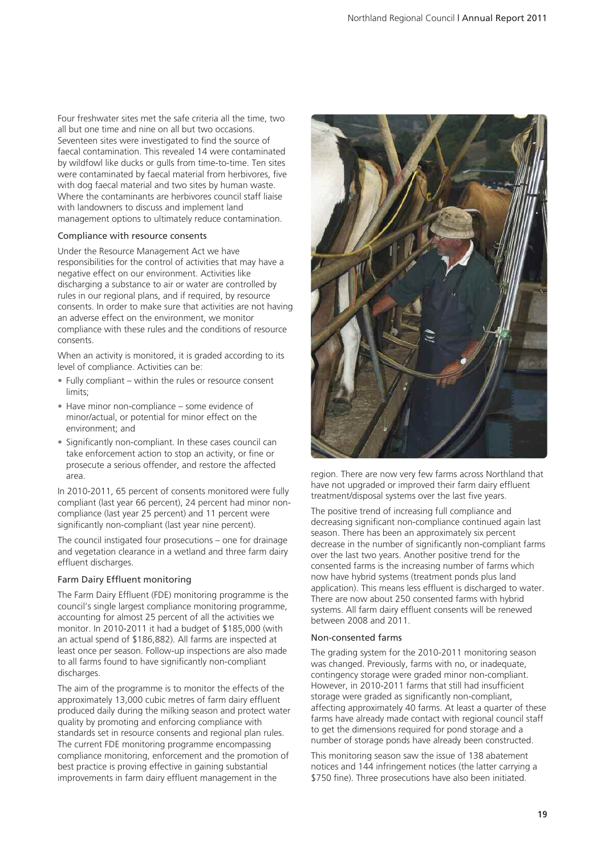Four freshwater sites met the safe criteria all the time, two all but one time and nine on all but two occasions. Seventeen sites were investigated to find the source of faecal contamination. This revealed 14 were contaminated by wildfowl like ducks or gulls from time-to-time. Ten sites were contaminated by faecal material from herbivores, five with dog faecal material and two sites by human waste. Where the contaminants are herbivores council staff liaise with landowners to discuss and implement land management options to ultimately reduce contamination.

#### Compliance with resource consents

Under the Resource Management Act we have responsibilities for the control of activities that may have a negative effect on our environment. Activities like discharging a substance to air or water are controlled by rules in our regional plans, and if required, by resource consents. In order to make sure that activities are not having an adverse effect on the environment, we monitor compliance with these rules and the conditions of resource consents.

When an activity is monitored, it is graded according to its level of compliance. Activities can be:

- Fully compliant within the rules or resource consent limits;
- Have minor non-compliance some evidence of minor/actual, or potential for minor effect on the environment; and
- Significantly non-compliant. In these cases council can take enforcement action to stop an activity, or fine or prosecute a serious offender, and restore the affected area.

In 2010-2011, 65 percent of consents monitored were fully compliant (last year 66 percent), 24 percent had minor noncompliance (last year 25 percent) and 11 percent were significantly non-compliant (last year nine percent).

The council instigated four prosecutions – one for drainage and vegetation clearance in a wetland and three farm dairy effluent discharges.

#### Farm Dairy Effluent monitoring

The Farm Dairy Effluent (FDE) monitoring programme is the council's single largest compliance monitoring programme, accounting for almost 25 percent of all the activities we monitor. In 2010-2011 it had a budget of \$185,000 (with an actual spend of \$186,882). All farms are inspected at least once per season. Follow-up inspections are also made to all farms found to have significantly non-compliant discharges.

The aim of the programme is to monitor the effects of the approximately 13,000 cubic metres of farm dairy effluent produced daily during the milking season and protect water quality by promoting and enforcing compliance with standards set in resource consents and regional plan rules. The current FDE monitoring programme encompassing compliance monitoring, enforcement and the promotion of best practice is proving effective in gaining substantial improvements in farm dairy effluent management in the



region. There are now very few farms across Northland that have not upgraded or improved their farm dairy effluent treatment/disposal systems over the last five years.

The positive trend of increasing full compliance and decreasing significant non-compliance continued again last season. There has been an approximately six percent decrease in the number of significantly non-compliant farms over the last two years. Another positive trend for the consented farms is the increasing number of farms which now have hybrid systems (treatment ponds plus land application). This means less effluent is discharged to water. There are now about 250 consented farms with hybrid systems. All farm dairy effluent consents will be renewed between 2008 and 2011.

#### Non-consented farms

The grading system for the 2010-2011 monitoring season was changed. Previously, farms with no, or inadequate, contingency storage were graded minor non-compliant. However, in 2010-2011 farms that still had insufficient storage were graded as significantly non-compliant, affecting approximately 40 farms. At least a quarter of these farms have already made contact with regional council staff to get the dimensions required for pond storage and a number of storage ponds have already been constructed.

This monitoring season saw the issue of 138 abatement notices and 144 infringement notices (the latter carrying a \$750 fine). Three prosecutions have also been initiated.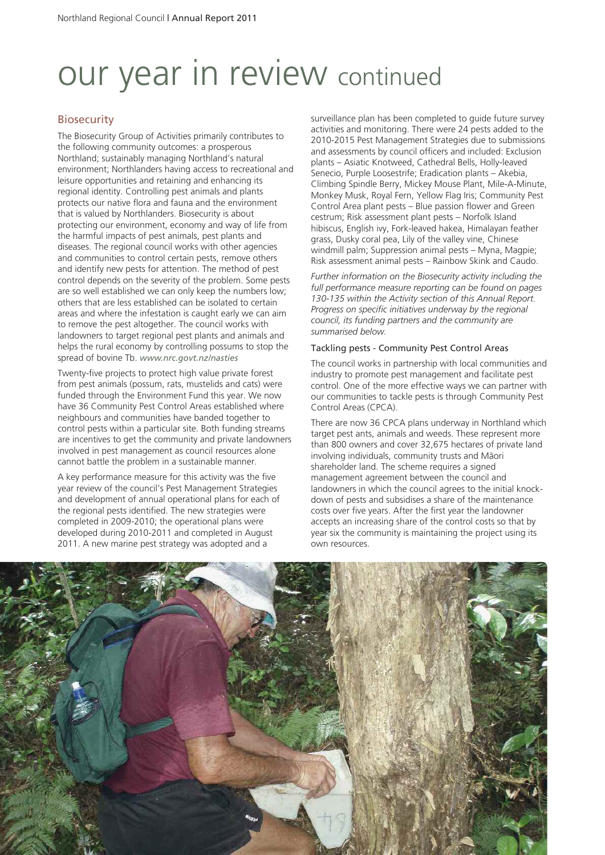## **Biosecurity**

The Biosecurity Group of Activities primarily contributes to the following community outcomes: a prosperous Northland; sustainably managing Northland's natural environment; Northlanders having access to recreational and leisure opportunities and retaining and enhancing its regional identity. Controlling pest animals and plants protects our native flora and fauna and the environment that is valued by Northlanders. Biosecurity is about protecting our environment, economy and way of life from the harmful impacts of pest animals, pest plants and diseases. The regional council works with other agencies and communities to control certain pests, remove others and identify new pests for attention. The method of pest control depends on the severity of the problem. Some pests are so well established we can only keep the numbers low; others that are less established can be isolated to certain areas and where the infestation is caught early we can aim to remove the pest altogether. The council works with landowners to target regional pest plants and animals and helps the rural economy by controlling possums to stop the spread of bovine Tb. *www.nrc.govt.nz/nasties*

Twenty-five projects to protect high value private forest from pest animals (possum, rats, mustelids and cats) were funded through the Environment Fund this year. We now have 36 Community Pest Control Areas established where neighbours and communities have banded together to control pests within a particular site. Both funding streams are incentives to get the community and private landowners involved in pest management as council resources alone cannot battle the problem in a sustainable manner.

A key performance measure for this activity was the five year review of the council's Pest Management Strategies and development of annual operational plans for each of the regional pests identified. The new strategies were completed in 2009-2010; the operational plans were developed during 2010-2011 and completed in August 2011. A new marine pest strategy was adopted and a

surveillance plan has been completed to guide future survey activities and monitoring. There were 24 pests added to the 2010-2015 Pest Management Strategies due to submissions and assessments by council officers and included: Exclusion plants – Asiatic Knotweed, Cathedral Bells, Holly-leaved Senecio, Purple Loosestrife; Eradication plants – Akebia, Climbing Spindle Berry, Mickey Mouse Plant, Mile-A-Minute, Monkey Musk, Royal Fern, Yellow Flag Iris; Community Pest Control Area plant pests – Blue passion flower and Green cestrum; Risk assessment plant pests – Norfolk Island hibiscus, English ivy, Fork-leaved hakea, Himalayan feather grass, Dusky coral pea, Lily of the valley vine, Chinese windmill palm; Suppression animal pests – Myna, Magpie; Risk assessment animal pests – Rainbow Skink and Caudo.

*Further information on the Biosecurity activity including the full performance measure reporting can be found on pages 130-135 within the Activity section of this Annual Report. Progress on specific initiatives underway by the regional council, its funding partners and the community are summarised below.*

### Tackling pests - Community Pest Control Areas

The council works in partnership with local communities and industry to promote pest management and facilitate pest control. One of the more effective ways we can partner with our communities to tackle pests is through Community Pest Control Areas (CPCA).

There are now 36 CPCA plans underway in Northland which target pest ants, animals and weeds. These represent more than 800 owners and cover 32,675 hectares of private land involving individuals, community trusts and Mäori shareholder land. The scheme requires a signed management agreement between the council and landowners in which the council agrees to the initial knockdown of pests and subsidises a share of the maintenance costs over five years. After the first year the landowner accepts an increasing share of the control costs so that by year six the community is maintaining the project using its own resources.

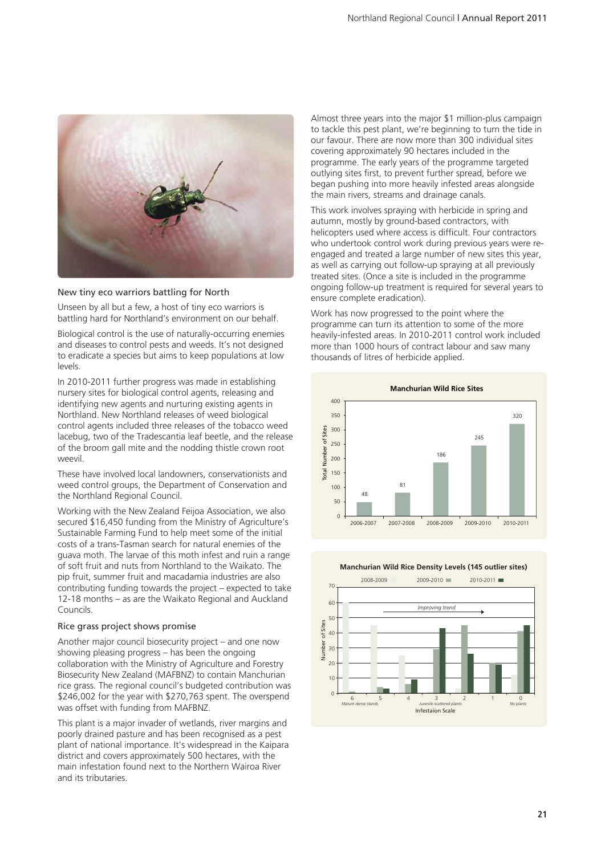

#### New tiny eco warriors battling for North

Unseen by all but a few, a host of tiny eco warriors is battling hard for Northland's environment on our behalf.

Biological control is the use of naturally-occurring enemies and diseases to control pests and weeds. It's not designed to eradicate a species but aims to keep populations at low levels.

In 2010-2011 further progress was made in establishing nursery sites for biological control agents, releasing and identifying new agents and nurturing existing agents in Northland. New Northland releases of weed biological control agents included three releases of the tobacco weed lacebug, two of the Tradescantia leaf beetle, and the release of the broom gall mite and the nodding thistle crown root weevil.

These have involved local landowners, conservationists and weed control groups, the Department of Conservation and the Northland Regional Council.

Working with the New Zealand Feijoa Association, we also secured \$16,450 funding from the Ministry of Agriculture's Sustainable Farming Fund to help meet some of the initial costs of a trans-Tasman search for natural enemies of the guava moth. The larvae of this moth infest and ruin a range of soft fruit and nuts from Northland to the Waikato. The pip fruit, summer fruit and macadamia industries are also contributing funding towards the project – expected to take 12-18 months – as are the Waikato Regional and Auckland Councils.

#### Rice grass project shows promise

Another major council biosecurity project – and one now showing pleasing progress – has been the ongoing collaboration with the Ministry of Agriculture and Forestry Biosecurity New Zealand (MAFBNZ) to contain Manchurian rice grass. The regional council's budgeted contribution was \$246,002 for the year with \$270,763 spent. The overspend was offset with funding from MAFBNZ.

This plant is a major invader of wetlands, river margins and poorly drained pasture and has been recognised as a pest plant of national importance. It's widespread in the Kaipara district and covers approximately 500 hectares, with the main infestation found next to the Northern Wairoa River and its tributaries.

Almost three years into the major \$1 million-plus campaign to tackle this pest plant, we're beginning to turn the tide in our favour. There are now more than 300 individual sites covering approximately 90 hectares included in the programme. The early years of the programme targeted outlying sites first, to prevent further spread, before we began pushing into more heavily infested areas alongside the main rivers, streams and drainage canals.

This work involves spraying with herbicide in spring and autumn, mostly by ground-based contractors, with helicopters used where access is difficult. Four contractors who undertook control work during previous years were reengaged and treated a large number of new sites this year, as well as carrying out follow-up spraying at all previously treated sites. (Once a site is included in the programme ongoing follow-up treatment is required for several years to ensure complete eradication).

Work has now progressed to the point where the programme can turn its attention to some of the more heavily-infested areas. In 2010-2011 control work included more than 1000 hours of contract labour and saw many thousands of litres of herbicide applied.



**Manchurian Wild Rice Density Levels (145 outlier sites)**

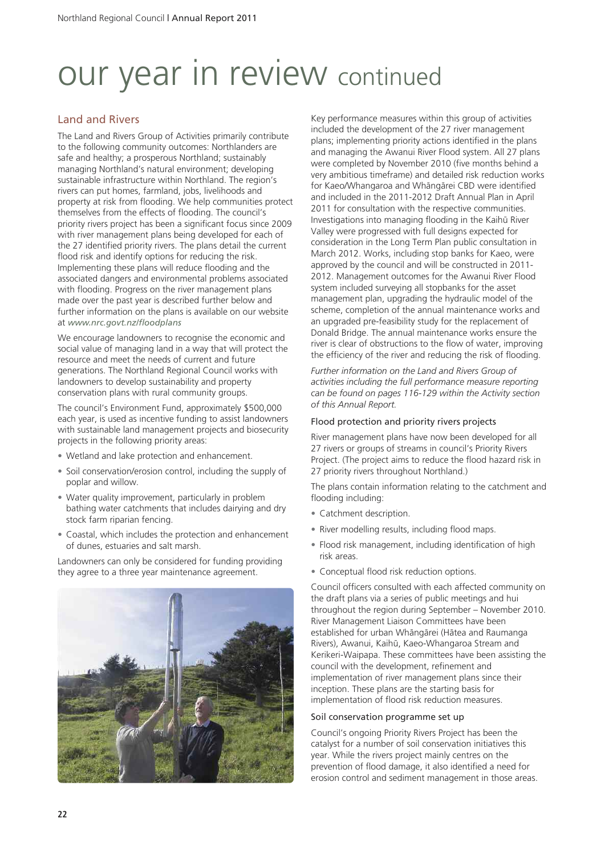# Land and Rivers

The Land and Rivers Group of Activities primarily contribute to the following community outcomes: Northlanders are safe and healthy; a prosperous Northland; sustainably managing Northland's natural environment; developing sustainable infrastructure within Northland. The region's rivers can put homes, farmland, jobs, livelihoods and property at risk from flooding. We help communities protect themselves from the effects of flooding. The council's priority rivers project has been a significant focus since 2009 with river management plans being developed for each of the 27 identified priority rivers. The plans detail the current flood risk and identify options for reducing the risk. Implementing these plans will reduce flooding and the associated dangers and environmental problems associated with flooding. Progress on the river management plans made over the past year is described further below and further information on the plans is available on our website at *www.nrc.govt.nz/floodplans*

We encourage landowners to recognise the economic and social value of managing land in a way that will protect the resource and meet the needs of current and future generations. The Northland Regional Council works with landowners to develop sustainability and property conservation plans with rural community groups.

The council's Environment Fund, approximately \$500,000 each year, is used as incentive funding to assist landowners with sustainable land management projects and biosecurity projects in the following priority areas:

- Wetland and lake protection and enhancement.
- Soil conservation/erosion control, including the supply of poplar and willow.
- Water quality improvement, particularly in problem bathing water catchments that includes dairying and dry stock farm riparian fencing.
- Coastal, which includes the protection and enhancement of dunes, estuaries and salt marsh.

Landowners can only be considered for funding providing they agree to a three year maintenance agreement.



Key performance measures within this group of activities included the development of the 27 river management plans; implementing priority actions identified in the plans and managing the Awanui River Flood system. All 27 plans were completed by November 2010 (five months behind a very ambitious timeframe) and detailed risk reduction works for Kaeo/Whangaroa and Whängärei CBD were identified and included in the 2011-2012 Draft Annual Plan in April 2011 for consultation with the respective communities. Investigations into managing flooding in the Kaihü River Valley were progressed with full designs expected for consideration in the Long Term Plan public consultation in March 2012. Works, including stop banks for Kaeo, were approved by the council and will be constructed in 2011- 2012. Management outcomes for the Awanui River Flood system included surveying all stopbanks for the asset management plan, upgrading the hydraulic model of the scheme, completion of the annual maintenance works and an upgraded pre-feasibility study for the replacement of Donald Bridge. The annual maintenance works ensure the river is clear of obstructions to the flow of water, improving the efficiency of the river and reducing the risk of flooding.

*Further information on the Land and Rivers Group of activities including the full performance measure reporting can be found on pages 116-129 within the Activity section of this Annual Report.*

## Flood protection and priority rivers projects

River management plans have now been developed for all 27 rivers or groups of streams in council's Priority Rivers Project. (The project aims to reduce the flood hazard risk in 27 priority rivers throughout Northland.)

The plans contain information relating to the catchment and flooding including:

- Catchment description.
- River modelling results, including flood maps.
- Flood risk management, including identification of high risk areas.
- Conceptual flood risk reduction options.

Council officers consulted with each affected community on the draft plans via a series of public meetings and hui throughout the region during September – November 2010. River Management Liaison Committees have been established for urban Whängärei (Hätea and Raumanga Rivers), Awanui, Kaihü, Kaeo-Whangaroa Stream and Kerikeri-Waipapa. These committees have been assisting the council with the development, refinement and implementation of river management plans since their inception. These plans are the starting basis for implementation of flood risk reduction measures.

## Soil conservation programme set up

Council's ongoing Priority Rivers Project has been the catalyst for a number of soil conservation initiatives this year. While the rivers project mainly centres on the prevention of flood damage, it also identified a need for erosion control and sediment management in those areas.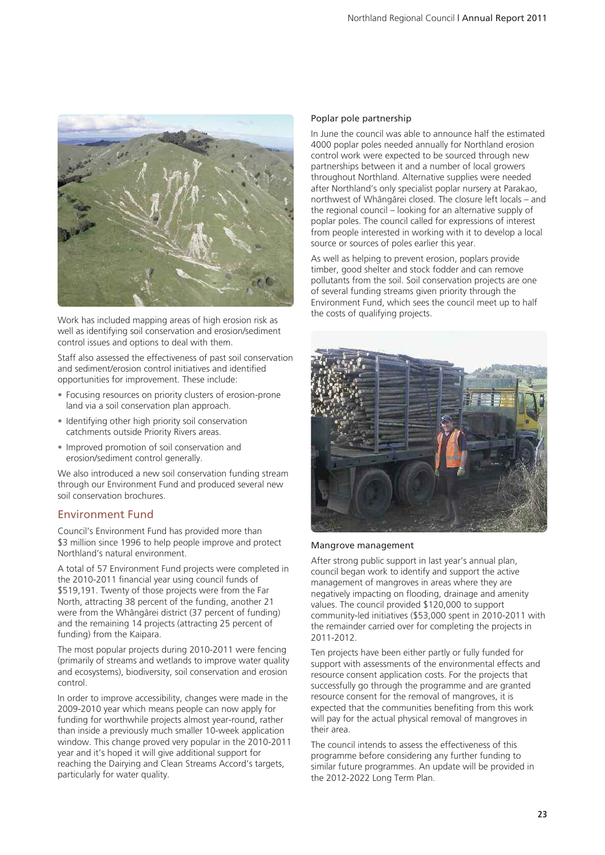

Work has included mapping areas of high erosion risk as well as identifying soil conservation and erosion/sediment control issues and options to deal with them.

Staff also assessed the effectiveness of past soil conservation and sediment/erosion control initiatives and identified opportunities for improvement. These include:

- Focusing resources on priority clusters of erosion-prone land via a soil conservation plan approach.
- Identifying other high priority soil conservation catchments outside Priority Rivers areas.
- Improved promotion of soil conservation and erosion/sediment control generally.

We also introduced a new soil conservation funding stream through our Environment Fund and produced several new soil conservation brochures.

# Environment Fund

Council's Environment Fund has provided more than \$3 million since 1996 to help people improve and protect Northland's natural environment.

A total of 57 Environment Fund projects were completed in the 2010-2011 financial year using council funds of \$519,191. Twenty of those projects were from the Far North, attracting 38 percent of the funding, another 21 were from the Whängärei district (37 percent of funding) and the remaining 14 projects (attracting 25 percent of funding) from the Kaipara.

The most popular projects during 2010-2011 were fencing (primarily of streams and wetlands to improve water quality and ecosystems), biodiversity, soil conservation and erosion control.

In order to improve accessibility, changes were made in the 2009-2010 year which means people can now apply for funding for worthwhile projects almost year-round, rather than inside a previously much smaller 10-week application window. This change proved very popular in the 2010-2011 year and it's hoped it will give additional support for reaching the Dairying and Clean Streams Accord's targets, particularly for water quality.

### Poplar pole partnership

In June the council was able to announce half the estimated 4000 poplar poles needed annually for Northland erosion control work were expected to be sourced through new partnerships between it and a number of local growers throughout Northland. Alternative supplies were needed after Northland's only specialist poplar nursery at Parakao, northwest of Whängärei closed. The closure left locals – and the regional council – looking for an alternative supply of poplar poles. The council called for expressions of interest from people interested in working with it to develop a local source or sources of poles earlier this year.

As well as helping to prevent erosion, poplars provide timber, good shelter and stock fodder and can remove pollutants from the soil. Soil conservation projects are one of several funding streams given priority through the Environment Fund, which sees the council meet up to half the costs of qualifying projects.



### Mangrove management

After strong public support in last year's annual plan, council began work to identify and support the active management of mangroves in areas where they are negatively impacting on flooding, drainage and amenity values. The council provided \$120,000 to support community-led initiatives (\$53,000 spent in 2010-2011 with the remainder carried over for completing the projects in 2011-2012.

Ten projects have been either partly or fully funded for support with assessments of the environmental effects and resource consent application costs. For the projects that successfully go through the programme and are granted resource consent for the removal of mangroves, it is expected that the communities benefiting from this work will pay for the actual physical removal of mangroves in their area.

The council intends to assess the effectiveness of this programme before considering any further funding to similar future programmes. An update will be provided in the 2012-2022 Long Term Plan.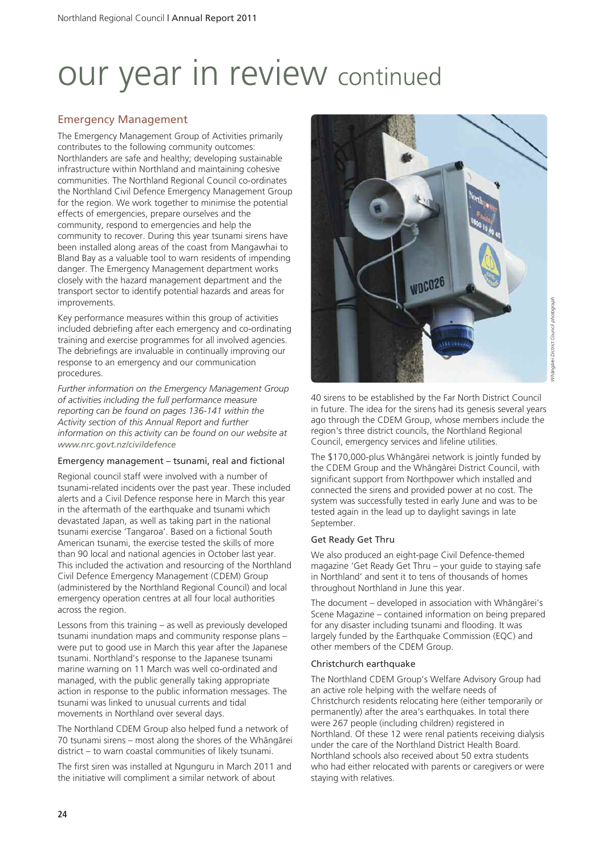## Emergency Management

The Emergency Management Group of Activities primarily contributes to the following community outcomes: Northlanders are safe and healthy; developing sustainable infrastructure within Northland and maintaining cohesive communities. The Northland Regional Council co-ordinates the Northland Civil Defence Emergency Management Group for the region. We work together to minimise the potential effects of emergencies, prepare ourselves and the community, respond to emergencies and help the community to recover. During this year tsunami sirens have been installed along areas of the coast from Mangawhai to Bland Bay as a valuable tool to warn residents of impending danger. The Emergency Management department works closely with the hazard management department and the transport sector to identify potential hazards and areas for improvements.

Key performance measures within this group of activities included debriefing after each emergency and co-ordinating training and exercise programmes for all involved agencies. The debriefings are invaluable in continually improving our response to an emergency and our communication procedures.

*Further information on the Emergency Management Group of activities including the full performance measure reporting can be found on pages 136-141 within the Activity section of this Annual Report and further information on this activity can be found on our website at www.nrc.govt.nz/civildefence*

## Emergency management – tsunami, real and fictional

Regional council staff were involved with a number of tsunami-related incidents over the past year. These included alerts and a Civil Defence response here in March this year in the aftermath of the earthquake and tsunami which devastated Japan, as well as taking part in the national tsunami exercise 'Tangaroa'. Based on a fictional South American tsunami, the exercise tested the skills of more than 90 local and national agencies in October last year. This included the activation and resourcing of the Northland Civil Defence Emergency Management (CDEM) Group (administered by the Northland Regional Council) and local emergency operation centres at all four local authorities across the region.

Lessons from this training – as well as previously developed tsunami inundation maps and community response plans – were put to good use in March this year after the Japanese tsunami. Northland's response to the Japanese tsunami marine warning on 11 March was well co-ordinated and managed, with the public generally taking appropriate action in response to the public information messages. The tsunami was linked to unusual currents and tidal movements in Northland over several days.

The Northland CDEM Group also helped fund a network of 70 tsunami sirens – most along the shores of the Whängärei district – to warn coastal communities of likely tsunami.

The first siren was installed at Ngunguru in March 2011 and the initiative will compliment a similar network of about



40 sirens to be established by the Far North District Council in future. The idea for the sirens had its genesis several years ago through the CDEM Group, whose members include the region's three district councils, the Northland Regional Council, emergency services and lifeline utilities.

The \$170,000-plus Whängärei network is jointly funded by the CDEM Group and the Whängärei District Council, with significant support from Northpower which installed and connected the sirens and provided power at no cost. The system was successfully tested in early June and was to be tested again in the lead up to daylight savings in late September.

## Get Ready Get Thru

We also produced an eight-page Civil Defence-themed magazine 'Get Ready Get Thru – your guide to staying safe in Northland' and sent it to tens of thousands of homes throughout Northland in June this year.

The document – developed in association with Whängärei's Scene Magazine – contained information on being prepared for any disaster including tsunami and flooding. It was largely funded by the Earthquake Commission (EQC) and other members of the CDEM Group.

#### Christchurch earthquake

The Northland CDEM Group's Welfare Advisory Group had an active role helping with the welfare needs of Christchurch residents relocating here (either temporarily or permanently) after the area's earthquakes. In total there were 267 people (including children) registered in Northland. Of these 12 were renal patients receiving dialysis under the care of the Northland District Health Board. Northland schools also received about 50 extra students who had either relocated with parents or caregivers or were staying with relatives.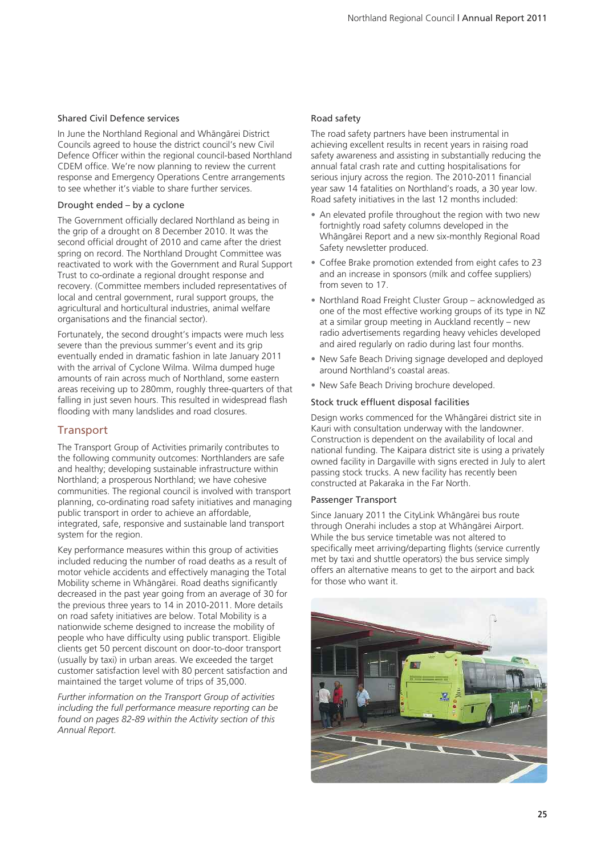## Shared Civil Defence services

In June the Northland Regional and Whängärei District Councils agreed to house the district council's new Civil Defence Officer within the regional council-based Northland CDEM office. We're now planning to review the current response and Emergency Operations Centre arrangements to see whether it's viable to share further services.

## Drought ended – by a cyclone

The Government officially declared Northland as being in the grip of a drought on 8 December 2010. It was the second official drought of 2010 and came after the driest spring on record. The Northland Drought Committee was reactivated to work with the Government and Rural Support Trust to co-ordinate a regional drought response and recovery. (Committee members included representatives of local and central government, rural support groups, the agricultural and horticultural industries, animal welfare organisations and the financial sector).

Fortunately, the second drought's impacts were much less severe than the previous summer's event and its grip eventually ended in dramatic fashion in late January 2011 with the arrival of Cyclone Wilma. Wilma dumped huge amounts of rain across much of Northland, some eastern areas receiving up to 280mm, roughly three-quarters of that falling in just seven hours. This resulted in widespread flash flooding with many landslides and road closures.

## **Transport**

The Transport Group of Activities primarily contributes to the following community outcomes: Northlanders are safe and healthy; developing sustainable infrastructure within Northland; a prosperous Northland; we have cohesive communities. The regional council is involved with transport planning, co-ordinating road safety initiatives and managing public transport in order to achieve an affordable, integrated, safe, responsive and sustainable land transport system for the region.

Key performance measures within this group of activities included reducing the number of road deaths as a result of motor vehicle accidents and effectively managing the Total Mobility scheme in Whängärei. Road deaths significantly decreased in the past year going from an average of 30 for the previous three years to 14 in 2010-2011. More details on road safety initiatives are below. Total Mobility is a nationwide scheme designed to increase the mobility of people who have difficulty using public transport. Eligible clients get 50 percent discount on door-to-door transport (usually by taxi) in urban areas. We exceeded the target customer satisfaction level with 80 percent satisfaction and maintained the target volume of trips of 35,000.

*Further information on the Transport Group of activities including the full performance measure reporting can be found on pages 82-89 within the Activity section of this Annual Report.*

## Road safety

The road safety partners have been instrumental in achieving excellent results in recent years in raising road safety awareness and assisting in substantially reducing the annual fatal crash rate and cutting hospitalisations for serious injury across the region. The 2010-2011 financial year saw 14 fatalities on Northland's roads, a 30 year low. Road safety initiatives in the last 12 months included:

- An elevated profile throughout the region with two new fortnightly road safety columns developed in the Whängärei Report and a new six-monthly Regional Road Safety newsletter produced.
- Coffee Brake promotion extended from eight cafes to 23 and an increase in sponsors (milk and coffee suppliers) from seven to 17.
- Northland Road Freight Cluster Group acknowledged as one of the most effective working groups of its type in NZ at a similar group meeting in Auckland recently – new radio advertisements regarding heavy vehicles developed and aired regularly on radio during last four months.
- New Safe Beach Driving signage developed and deployed around Northland's coastal areas.
- New Safe Beach Driving brochure developed.

## Stock truck effluent disposal facilities

Design works commenced for the Whängärei district site in Kauri with consultation underway with the landowner. Construction is dependent on the availability of local and national funding. The Kaipara district site is using a privately owned facility in Dargaville with signs erected in July to alert passing stock trucks. A new facility has recently been constructed at Pakaraka in the Far North.

## Passenger Transport

Since January 2011 the CityLink Whängärei bus route through Onerahi includes a stop at Whängärei Airport. While the bus service timetable was not altered to specifically meet arriving/departing flights (service currently met by taxi and shuttle operators) the bus service simply offers an alternative means to get to the airport and back for those who want it.

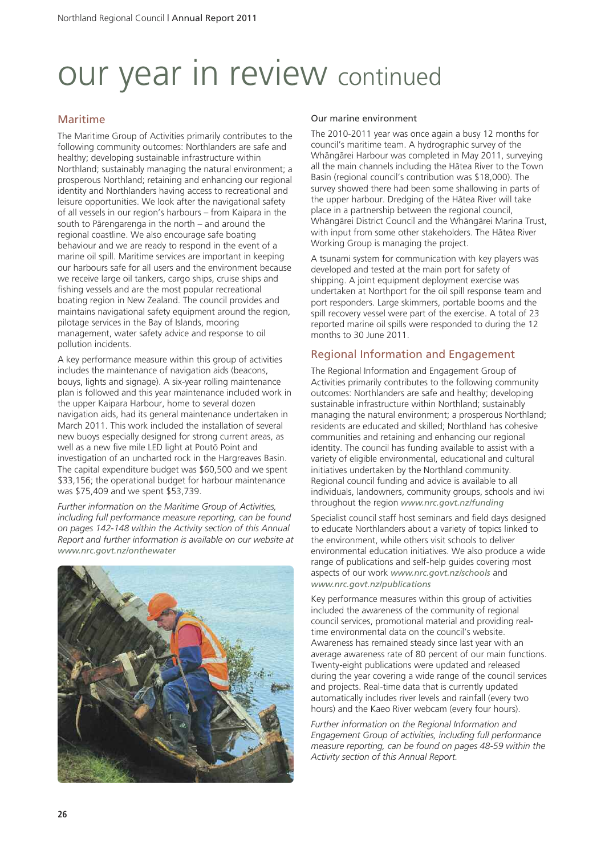## Maritime

The Maritime Group of Activities primarily contributes to the following community outcomes: Northlanders are safe and healthy; developing sustainable infrastructure within Northland; sustainably managing the natural environment; a prosperous Northland; retaining and enhancing our regional identity and Northlanders having access to recreational and leisure opportunities. We look after the navigational safety of all vessels in our region's harbours – from Kaipara in the south to Pärengarenga in the north – and around the regional coastline. We also encourage safe boating behaviour and we are ready to respond in the event of a marine oil spill. Maritime services are important in keeping our harbours safe for all users and the environment because we receive large oil tankers, cargo ships, cruise ships and fishing vessels and are the most popular recreational boating region in New Zealand. The council provides and maintains navigational safety equipment around the region, pilotage services in the Bay of Islands, mooring management, water safety advice and response to oil pollution incidents.

A key performance measure within this group of activities includes the maintenance of navigation aids (beacons, bouys, lights and signage). A six-year rolling maintenance plan is followed and this year maintenance included work in the upper Kaipara Harbour, home to several dozen navigation aids, had its general maintenance undertaken in March 2011. This work included the installation of several new buoys especially designed for strong current areas, as well as a new five mile LED light at Poutö Point and investigation of an uncharted rock in the Hargreaves Basin. The capital expenditure budget was \$60,500 and we spent \$33,156; the operational budget for harbour maintenance was \$75,409 and we spent \$53,739.

*Further information on the Maritime Group of Activities, including full performance measure reporting, can be found on pages 142-148 within the Activity section of this Annual Report and further information is available on our website at www.nrc.govt.nz/onthewater*



## Our marine environment

The 2010-2011 year was once again a busy 12 months for council's maritime team. A hydrographic survey of the Whängärei Harbour was completed in May 2011, surveying all the main channels including the Hätea River to the Town Basin (regional council's contribution was \$18,000). The survey showed there had been some shallowing in parts of the upper harbour. Dredging of the Hätea River will take place in a partnership between the regional council, Whängärei District Council and the Whängärei Marina Trust, with input from some other stakeholders. The Hätea River Working Group is managing the project.

A tsunami system for communication with key players was developed and tested at the main port for safety of shipping. A joint equipment deployment exercise was undertaken at Northport for the oil spill response team and port responders. Large skimmers, portable booms and the spill recovery vessel were part of the exercise. A total of 23 reported marine oil spills were responded to during the 12 months to 30 June 2011.

## Regional Information and Engagement

The Regional Information and Engagement Group of Activities primarily contributes to the following community outcomes: Northlanders are safe and healthy; developing sustainable infrastructure within Northland; sustainably managing the natural environment; a prosperous Northland; residents are educated and skilled; Northland has cohesive communities and retaining and enhancing our regional identity. The council has funding available to assist with a variety of eligible environmental, educational and cultural initiatives undertaken by the Northland community. Regional council funding and advice is available to all individuals, landowners, community groups, schools and iwi throughout the region *www.nrc.govt.nz/funding*

Specialist council staff host seminars and field days designed to educate Northlanders about a variety of topics linked to the environment, while others visit schools to deliver environmental education initiatives. We also produce a wide range of publications and self-help guides covering most aspects of our work *www.nrc.govt.nz/schools* and *www.nrc.govt.nz/publications*

Key performance measures within this group of activities included the awareness of the community of regional council services, promotional material and providing realtime environmental data on the council's website. Awareness has remained steady since last year with an average awareness rate of 80 percent of our main functions. Twenty-eight publications were updated and released during the year covering a wide range of the council services and projects. Real-time data that is currently updated automatically includes river levels and rainfall (every two hours) and the Kaeo River webcam (every four hours).

*Further information on the Regional Information and Engagement Group of activities, including full performance measure reporting, can be found on pages 48-59 within the Activity section of this Annual Report.*